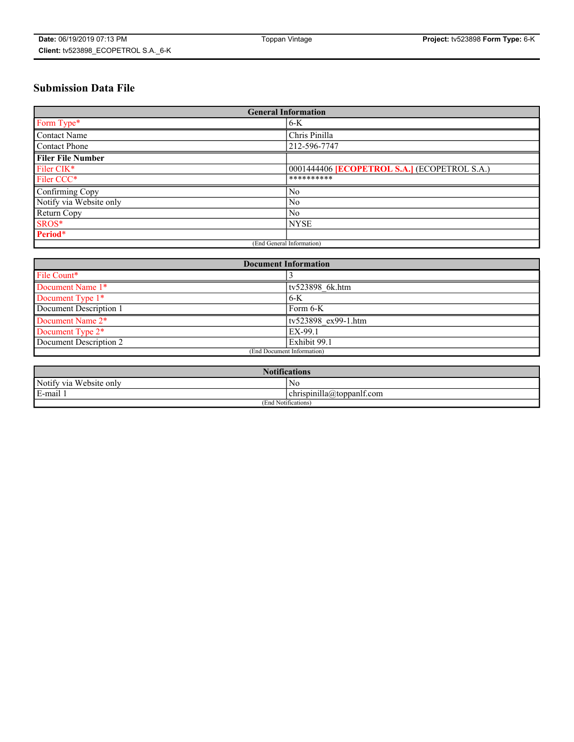# **Submission Data File**

| <b>General Information</b> |                                                     |
|----------------------------|-----------------------------------------------------|
| Form Type*                 | $6-K$                                               |
| Contact Name               | Chris Pinilla                                       |
| <b>Contact Phone</b>       | 212-596-7747                                        |
| <b>Filer File Number</b>   |                                                     |
| Filer CIK*                 | 0001444406 <b>[ECOPETROL S.A.]</b> (ECOPETROL S.A.) |
| Filer CCC*                 | **********                                          |
| Confirming Copy            | N <sub>0</sub>                                      |
| Notify via Website only    | N <sub>0</sub>                                      |
| Return Copy                | N <sub>0</sub>                                      |
| SROS*                      | <b>NYSE</b>                                         |
| Period*                    |                                                     |
| (End General Information)  |                                                     |

| <b>Document Information</b> |                     |
|-----------------------------|---------------------|
| File Count*                 |                     |
| Document Name 1*            | tv523898 6k.htm     |
| Document Type 1*            | $6-K$               |
| Document Description 1      | Form 6-K            |
| Document Name 2*            | tv523898 ex99-1.htm |
| Document Type 2*            | EX-99.1             |
| Document Description 2      | Exhibit 99.1        |
| (End Document Information)  |                     |

| <b>Notifications</b>       |                                 |  |
|----------------------------|---------------------------------|--|
| Notify via<br>Website only | N <sub>0</sub>                  |  |
| $E$ -mail 1                | <br>chrispinilla(a)toppanif.com |  |
| (End Notifications)        |                                 |  |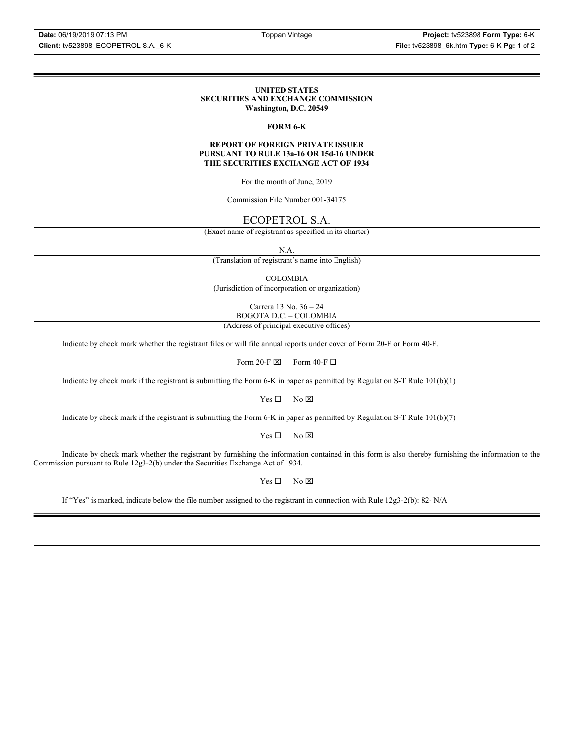#### **UNITED STATES SECURITIES AND EXCHANGE COMMISSION Washington, D.C. 20549**

#### **FORM 6-K**

#### **REPORT OF FOREIGN PRIVATE ISSUER PURSUANT TO RULE 13a-16 OR 15d-16 UNDER THE SECURITIES EXCHANGE ACT OF 1934**

For the month of June, 2019

Commission File Number 001-34175

### ECOPETROL S.A.

(Exact name of registrant as specified in its charter)

N.A.

(Translation of registrant's name into English)

COLOMBIA

(Jurisdiction of incorporation or organization)

Carrera 13 No. 36 – 24 BOGOTA D.C. – COLOMBIA

(Address of principal executive offices)

Indicate by check mark whether the registrant files or will file annual reports under cover of Form 20-F or Form 40-F.

Form 20-F  $\boxtimes$  Form 40-F  $\Box$ 

Indicate by check mark if the registrant is submitting the Form 6-K in paper as permitted by Regulation S-T Rule 101(b)(1)

 $Yes \Box$  No  $\boxtimes$ 

Indicate by check mark if the registrant is submitting the Form 6-K in paper as permitted by Regulation S-T Rule 101(b)(7)

 $Yes \Box$  No  $\boxtimes$ 

Indicate by check mark whether the registrant by furnishing the information contained in this form is also thereby furnishing the information to the Commission pursuant to Rule 12g3-2(b) under the Securities Exchange Act of 1934.

 $Yes \Box$  No  $\boxtimes$ 

If "Yes" is marked, indicate below the file number assigned to the registrant in connection with Rule 12g3-2(b): 82-  $N/A$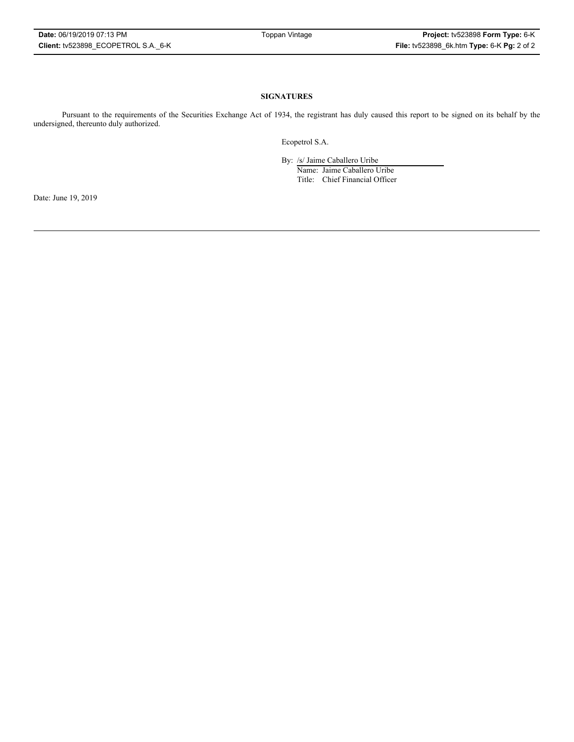#### **SIGNATURES**

Pursuant to the requirements of the Securities Exchange Act of 1934, the registrant has duly caused this report to be signed on its behalf by the undersigned, thereunto duly authorized.

Ecopetrol S.A.

By: /s/ Jaime Caballero Uribe

Name: Jaime Caballero Uribe Title: Chief Financial Officer

Date: June 19, 2019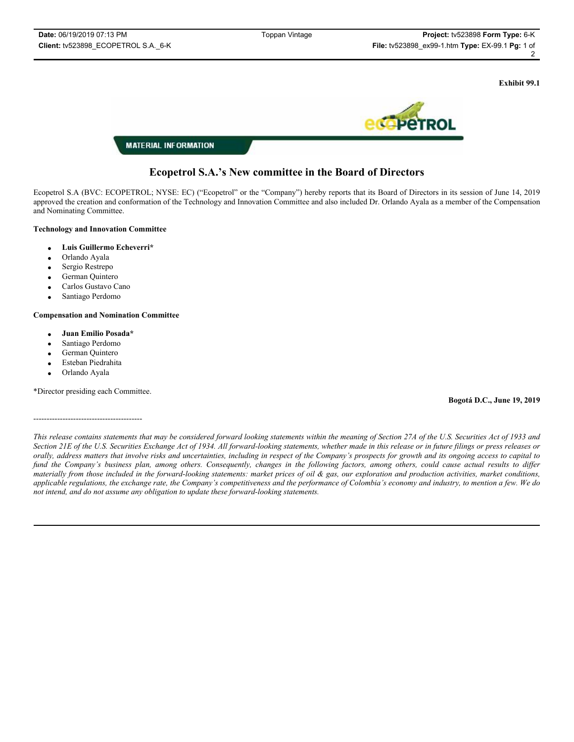**Exhibit 99.1**



## **Ecopetrol S.A.'s New committee in the Board of Directors**

Ecopetrol S.A (BVC: ECOPETROL; NYSE: EC) ("Ecopetrol" or the "Company") hereby reports that its Board of Directors in its session of June 14, 2019 approved the creation and conformation of the Technology and Innovation Committee and also included Dr. Orlando Ayala as a member of the Compensation and Nominating Committee.

#### **Technology and Innovation Committee**

- x **Luis Guillermo Echeverri\***
- Orlando Ayala
- Sergio Restrepo
- German Quintero
- Carlos Gustavo Cano
- Santiago Perdomo

#### **Compensation and Nomination Committee**

- x **Juan Emilio Posada\***
- Santiago Perdomo
- German Quintero
- Esteban Piedrahita
- Orlando Ayala

\*Director presiding each Committee.

-----------------------------------------

#### **Bogotá D.C., June 19, 2019**

*This release contains statements that may be considered forward looking statements within the meaning of Section 27A of the U.S. Securities Act of 1933 and Section 21E of the U.S. Securities Exchange Act of 1934. All forward-looking statements, whether made in this release or in future filings or press releases or orally, address matters that involve risks and uncertainties, including in respect of the Company's prospects for growth and its ongoing access to capital to*  fund the Company's business plan, among others. Consequently, changes in the following factors, among others, could cause actual results to differ *materially from those included in the forward-looking statements: market prices of oil & gas, our exploration and production activities, market conditions, applicable regulations, the exchange rate, the Company's competitiveness and the performance of Colombia's economy and industry, to mention a few. We do not intend, and do not assume any obligation to update these forward-looking statements.*